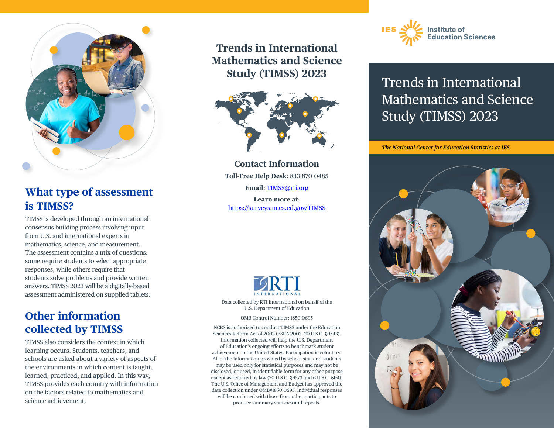

## **What type of assessment is TIMSS?**

TIMSS is developed through an international consensus building process involving input from U.S. and international experts in mathematics, science, and measurement. The assessment contains a mix of questions: some require students to select appropriate responses, while others require that students solve problems and provide written answers. TIMSS 2023 will be a digitally-based assessment administered on supplied tablets.

### **Other information collected by TIMSS**

TIMSS also considers the context in which learning occurs. Students, teachers, and schools are asked about a variety of aspects of the environments in which content is taught, learned, practiced, and applied. In this way, TIMSS provides each country with information on the factors related to mathematics and science achievement.

**Trends in International Mathematics and Science Study (TIMSS) 2023**



**Contact Information Toll-Free Help Desk**: 833-870-0485 **Email**: [TIMSS@rti.org](mailto:TIMSS@rti.org) **Learn more at**: <https://surveys.nces.ed.gov/TIMSS>



Data collected by RTI International on behalf of the U.S. Department of Education

OMB Control Number: 1850-0695

NCES is authorized to conduct TIMSS under the Education Sciences Reform Act of 2002 (ESRA 2002, 20 U.S.C. §9543). Information collected will help the U.S. Department of Education's ongoing efforts to benchmark student achievement in the United States. Participation is voluntary. All of the information provided by school staff and students may be used only for statistical purposes and may not be disclosed, or used, in identifiable form for any other purpose except as required by law (20 U.S.C. §9573 and 6 U.S.C. §151). The U.S. Office of Management and Budget has approved the data collection under OMB#1850-0695. Individual responses will be combined with those from other participants to produce summary statistics and reports.



## Trends in International Mathematics and Science Study (TIMSS) 2023

*The National Center for Education Statistics at IES*